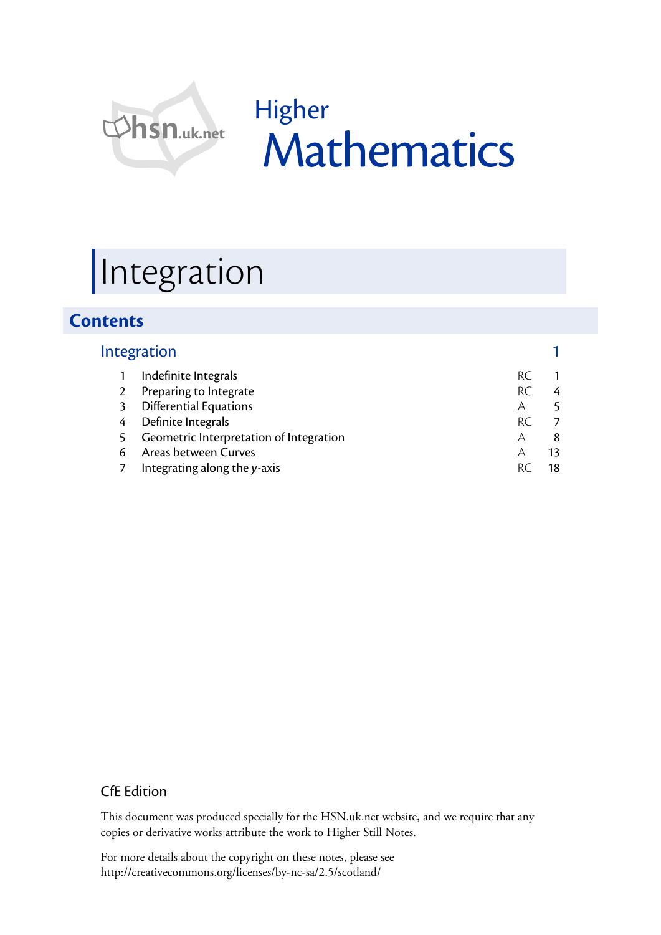

# Higher Mathematics

# Integration

## **Contents**

|    | Integration                             |     |   |
|----|-----------------------------------------|-----|---|
|    | Indefinite Integrals                    | RC. |   |
|    | Preparing to Integrate                  | RC. | 4 |
| 3  | <b>Differential Equations</b>           | Α   |   |
| 4  | Definite Integrals                      | RC. |   |
| 5. | Geometric Interpretation of Integration | Α   | 8 |
| 6  | Areas between Curves                    | Α   |   |
|    | Integrating along the y-axis            |     |   |

### CfE Edition

This document was produced specially for the HSN.uk.net website, and we require that any copies or derivative works attribute the work to Higher Still Notes.

For more details about the copyright on these notes, please see http://creativecommons.org/licenses/by-nc-sa/2.5/scotland/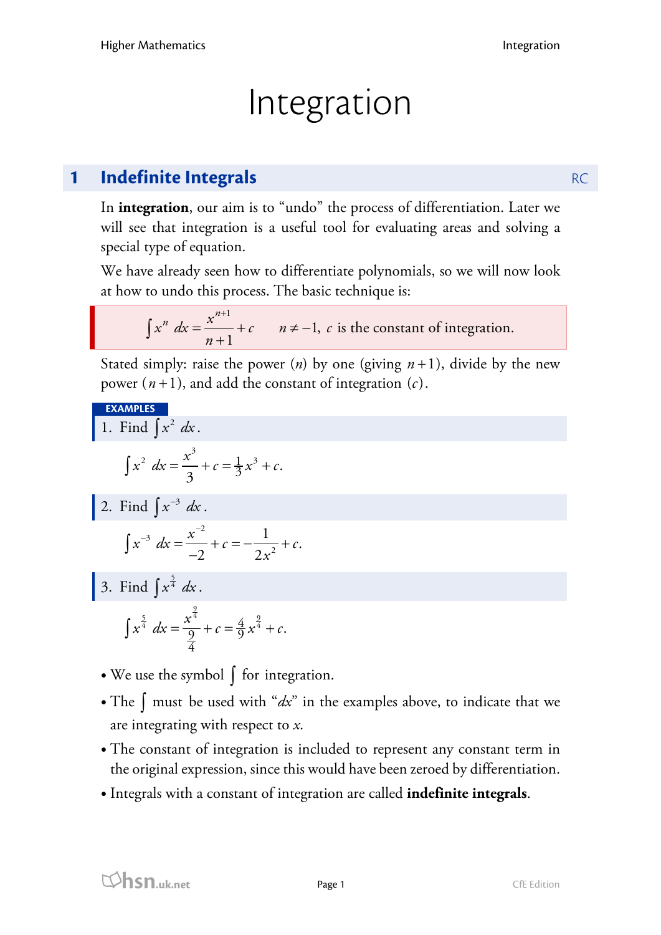# Integration

# **1 Indefinite Integrals** RC

In **integration**, our aim is to "undo" the process of differentiation. Later we will see that integration is a useful tool for evaluating areas and solving a special type of equation.

We have already seen how to differentiate polynomials, so we will now look at how to undo this process. The basic technique is:

$$
\int x^n dx = \frac{x^{n+1}}{n+1} + c
$$
  $n \neq -1$ , c is the constant of integration.

Stated simply: raise the power  $(n)$  by one (giving  $n+1$ ), divide by the new power  $(n+1)$ , and add the constant of integration  $(c)$ .

EXAMPLES  
\n1. Find 
$$
\int x^2 dx
$$
.  
\n
$$
\int x^2 dx = \frac{x^3}{3} + c = \frac{1}{3}x^3 + c.
$$
\n2. Find  $\int x^{-3} dx$ .  
\n
$$
\int x^{-3} dx = \frac{x^{-2}}{-2} + c = -\frac{1}{2x^2} + c.
$$
\n3. Find  $\int x^{\frac{5}{4}} dx$ .

$$
\int x^{\frac{5}{4}} dx = \frac{x^{\frac{9}{4}}}{\frac{9}{4}} + c = \frac{4}{9}x^{\frac{9}{4}} + c.
$$

- We use the symbol ∫ for integration.
- The  $\int$  must be used with "*dx*" in the examples above, to indicate that we are integrating with respect to *x*.
- The constant of integration is included to represent any constant term in the original expression, since this would have been zeroed by differentiation.
- Integrals with a constant of integration are called **indefinite integrals**.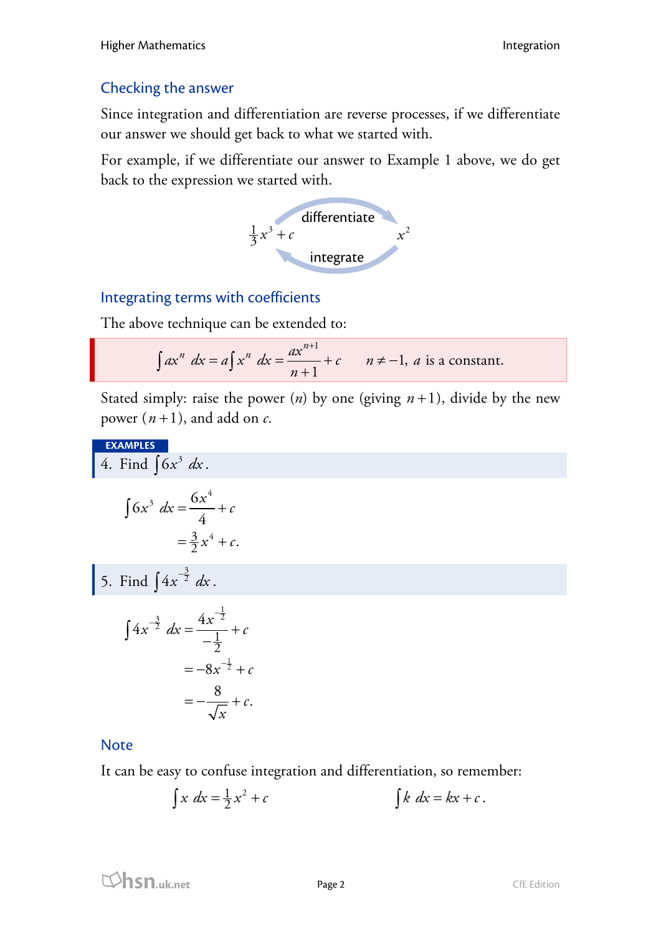### Checking the answer

Since integration and differentiation are reverse processes, if we differentiate our answer we should get back to what we started with.

For example, if we differentiate our answer to Example 1 above, we do get back to the expression we started with.



### Integrating terms with coefficients

The above technique can be extended to:

$$
\int ax^n \ dx = a \int x^n \ dx = \frac{ax^{n+1}}{n+1} + c \qquad n \neq -1, \ a \text{ is a constant.}
$$

Stated simply: raise the power  $(n)$  by one (giving  $n+1$ ), divide by the new power  $(n+1)$ , and add on  $c$ .

**EXAMPLES**

4. Find 
$$
\int 6x^3 dx
$$

$$
\int 6x^3 dx = \frac{6x^4}{4} + c
$$

$$
= \frac{3}{2}x^4 + c.
$$

5. Find 
$$
\int 4x^{-\frac{3}{2}} dx
$$
.

$$
\int 4x^{-\frac{3}{2}} dx = \frac{4x^{-\frac{1}{2}}}{-\frac{1}{2}} + c
$$
  
= -8x<sup>-1</sup>⁄<sub>2</sub> + c  
= - $\frac{8}{\sqrt{x}}$  + c.

### **Note**

It can be easy to confuse integration and differentiation, so remember:

$$
\int x \, dx = \frac{1}{2}x^2 + c \qquad \qquad \int k \, dx = kx + c \, .
$$

$$
\mathbf{p}_{\text{age 2}}
$$
 CfE Edition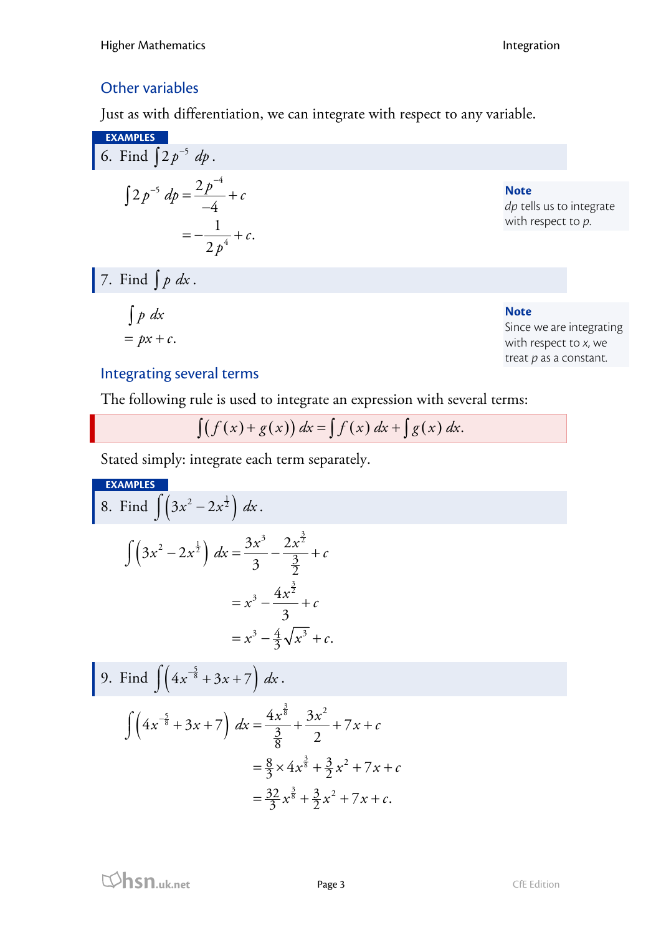## Other variables

Just as with differentiation, we can integrate with respect to any variable.

EXAMPLES  
\n6. Find 
$$
\int 2p^{-5} dp = \frac{2p^{-4}}{-4} + c
$$
  
\n
$$
= -\frac{1}{2p^{4}} + c.
$$
\n7. Find  $\int p dx$ .  
\n
$$
\int p dx
$$
\n
$$
= px + c.
$$
\nNote  
\n
$$
\int p dx
$$
\nNote  
\n
$$
\int p dx
$$
\nNote  
\n
$$
\int p dx
$$
\nNote  
\nSince we are integrating  
\nwith respect to x, we

# with respect to *x*, we treat *p* as a constant.

## Integrating several terms

The following rule is used to integrate an expression with several terms:

$$
\int (f(x) + g(x)) dx = \int f(x) dx + \int g(x) dx.
$$

Stated simply: integrate each term separately.

**EXAMPLES**  
\n8. Find 
$$
\int (3x^2 - 2x^{\frac{1}{2}}) dx
$$
.  
\n
$$
\int (3x^2 - 2x^{\frac{1}{2}}) dx = \frac{3x^3}{3} - \frac{2x^{\frac{3}{2}}}{\frac{3}{2}} + c
$$
\n
$$
= x^3 - \frac{4x^{\frac{3}{2}}}{3} + c
$$
\n
$$
= x^3 - \frac{4}{3}\sqrt{x^3} + c.
$$
\n9. Find  $\int (4x^{-\frac{5}{8}} + 3x + 7) dx$ .  
\n
$$
\int (4x^{-\frac{5}{8}} + 3x + 7) dx = \frac{4x^{\frac{3}{8}}}{\frac{3}{8}} + \frac{3x^2}{2} + 7x + c
$$
\n
$$
= \frac{8}{3} \times 4x^{\frac{3}{8}} + \frac{3}{2}x^2 + 7x + c
$$
\n
$$
= \frac{32}{3}x^{\frac{3}{8}} + \frac{3}{2}x^2 + 7x + c.
$$

**hsn.uk.net** Page 3 CfE Edition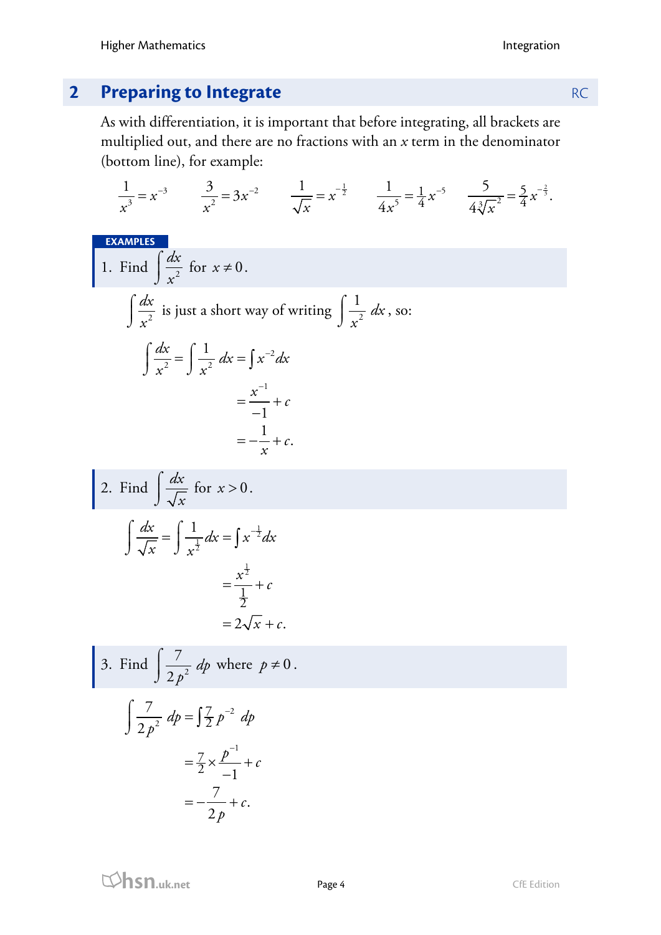# **2 Preparing to Integrate RC RC**

As with differentiation, it is important that before integrating, all brackets are multiplied out, and there are no fractions with an *x* term in the denominator (bottom line), for example:

$$
\frac{1}{x^3} = x^{-3} \qquad \frac{3}{x^2} = 3x^{-2} \qquad \frac{1}{\sqrt{x}} = x^{-\frac{1}{2}} \qquad \frac{1}{4x^5} = \frac{1}{4}x^{-5} \qquad \frac{5}{4\sqrt[3]{x^2}} = \frac{5}{4}x^{-\frac{3}{2}}.
$$

**EXAMPLES**

1. Find 
$$
\int \frac{dx}{x^2}
$$
 for  $x \neq 0$ .  
\n
$$
\int \frac{dx}{x^2}
$$
 is just a short way of writing  $\int \frac{1}{x^2} dx$ , so:  
\n
$$
\int \frac{dx}{x^2} = \int \frac{1}{x^2} dx = \int x^{-2} dx
$$
\n
$$
= \frac{x^{-1}}{-1} + c
$$
\n
$$
= -\frac{1}{x} + c.
$$

2. Find 
$$
\int \frac{dx}{\sqrt{x}} \text{ for } x > 0.
$$

$$
\int \frac{dx}{\sqrt{x}} = \int \frac{1}{x^{\frac{1}{2}}} dx = \int x^{-\frac{1}{2}} dx
$$

$$
= \frac{x^{\frac{1}{2}}}{\frac{1}{2}} + c
$$

$$
= 2\sqrt{x} + c.
$$

3. Find 
$$
\int \frac{7}{2p^2} dp
$$
 where  $p \neq 0$ .  

$$
\int \frac{7}{2p^2} dp = \int \frac{7}{2} p^{-2} dp
$$

$$
p^{2} = \frac{7}{2} \times \frac{p^{-1}}{-1} + c
$$
  
=  $-\frac{7}{2p} + c$ .

**hsn.uk.net** Page 4 CfE Edition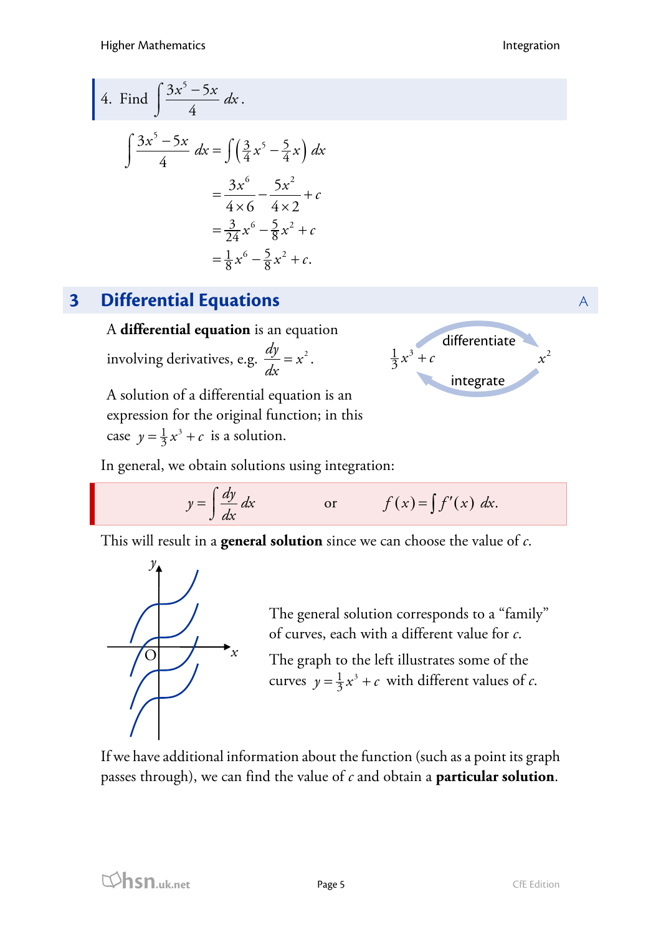4. Find 
$$
\int \frac{3x^5 - 5x}{4} dx
$$

$$
\int \frac{3x^5 - 5x}{4} dx = \int \left(\frac{3}{4}x^5 - \frac{5}{4}x\right) dx
$$

$$
= \frac{3x^6}{4 \times 6} - \frac{5x^2}{4 \times 2} + c
$$

$$
= \frac{3}{24}x^6 - \frac{5}{8}x^2 + c
$$

$$
= \frac{1}{8}x^6 - \frac{5}{8}x^2 + c
$$

# **3 Differential Equations** A

A **differential equation** is an equation involving derivatives, e.g.  $\frac{dy}{dx} = x^2$ .

A solution of a differential equation is an expression for the original function; in this case  $y = \frac{1}{3}x^3 + c$  is a solution.

differentiate integrate  $\frac{1}{3}x^3 + c$   $x^2$ *x*

In general, we obtain solutions using integration:

$$
y = \int \frac{dy}{dx} dx
$$
 or  $f(x) = \int f'(x) dx$ .

This will result in a **general solution** since we can choose the value of *c*.



The general solution corresponds to a "family" of curves, each with a different value for *c*.

The graph to the left illustrates some of the curves  $y = \frac{1}{3}x^3 + c$  with different values of *c*.

If we have additional information about the function (such as a point its graph passes through), we can find the value of *c* and obtain a **particular solution**.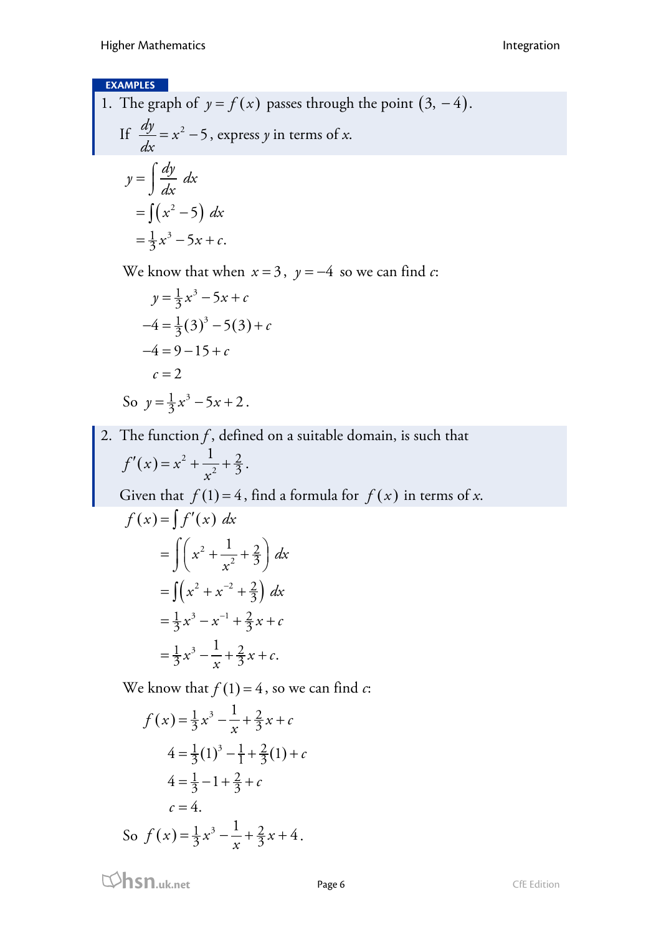### **EXAMPLES**

1. The graph of  $y = f(x)$  passes through the point  $(3, -4)$ . If  $\frac{dy}{dx} = x^2 - 5$ , express *y* in terms of *x*.

$$
dx
$$
  
\n
$$
y = \int \frac{dy}{dx} dx
$$
  
\n
$$
= \int (x^2 - 5) dx
$$
  
\n
$$
= \frac{1}{3}x^3 - 5x + c.
$$

We know that when  $x = 3$ ,  $y = -4$  so we can find *c*:

$$
y = \frac{1}{3}x^3 - 5x + c
$$
  
\n
$$
-4 = \frac{1}{3}(3)^3 - 5(3) + c
$$
  
\n
$$
-4 = 9 - 15 + c
$$
  
\n
$$
c = 2
$$
  
\nSo  $y = \frac{1}{3}x^3 - 5x + 2$ .

2. The function  $f$ , defined on a suitable domain, is such that  $(x) = x^2 + \frac{1}{x^2}$  $\frac{2}{3}$  $f'(x) = x^2 + \frac{1}{x^2} + \frac{2}{3}.$ Given that  $f(1) = 4$ , find a formula for  $f(x)$  in terms of *x*.  $f(x) = \int f'(x) dx$  $=\int (x^2 + x^{-2} + \frac{2}{3})$  $=\frac{1}{3}x^3-x^{-1}+\frac{2}{3}x+$  $\int$  $=\int \left( x^2 + \frac{1}{x^2} + \frac{2}{3} \right)$  $=\frac{1}{3}x^3-\frac{1}{3}+\frac{2}{3}x+$ 2  $\frac{2}{3}$ 3  $x^2 + x^{-2} + \frac{2}{3} dx$  $\frac{1}{3}x^3 - x^{-1} + \frac{2}{3}x + c$  $\frac{1}{3}x^3 - \frac{1}{x} + \frac{2}{3}x + c.$ 1  $x^{2} + \frac{1}{2} + \frac{2}{3} dx$ *x*

We know that  $f(1) = 4$ , so we can find *c*:

$$
f(x) = \frac{1}{3}x^3 - \frac{1}{x} + \frac{2}{3}x + c
$$
  
\n
$$
4 = \frac{1}{3}(1)^3 - \frac{1}{1} + \frac{2}{3}(1) + c
$$
  
\n
$$
4 = \frac{1}{3} - 1 + \frac{2}{3} + c
$$
  
\n
$$
c = 4.
$$
  
\nSo  $f(x) = \frac{1}{3}x^3 - \frac{1}{x} + \frac{2}{3}x + 4$ .

**html**<br> **hsn.uk.net** Page 6 Page 6 CfE Edition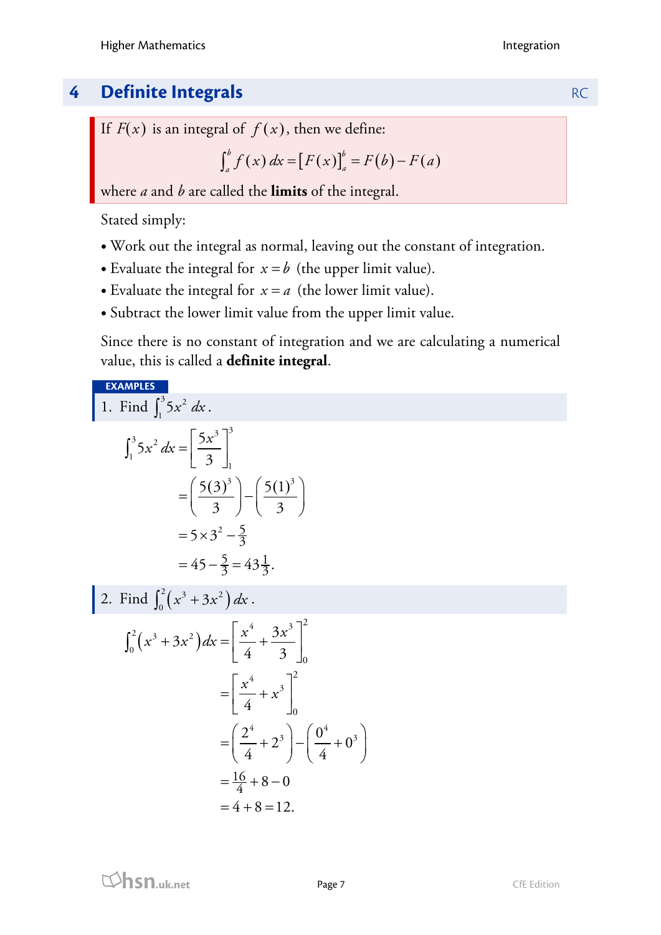# **4 Definite Integrals RC**

If  $F(x)$  is an integral of  $f(x)$ , then we define:

$$
\int_{a}^{b} f(x) \, dx = [F(x)]_{a}^{b} = F(b) - F(a)
$$

where *a* and *b* are called the **limits** of the integral.

Stated simply:

- Work out the integral as normal, leaving out the constant of integration.
- Evaluate the integral for  $x = b$  (the upper limit value).
- Evaluate the integral for  $x = a$  (the lower limit value).
- Subtract the lower limit value from the upper limit value.

Since there is no constant of integration and we are calculating a numerical value, this is called a **definite integral**.

**EXAMPLES**

 $\mathbf 1$ .

Find 
$$
\int_1^3 5x^2 dx
$$
.  
\n
$$
\int_1^3 5x^2 dx = \left[\frac{5x^3}{3}\right]_1^3
$$
\n
$$
= \left(\frac{5(3)^3}{3}\right) - \left(\frac{5(1)^3}{3}\right)
$$
\n
$$
= 5 \times 3^2 - \frac{5}{3}
$$
\n
$$
= 45 - \frac{5}{3} = 43\frac{1}{3}.
$$

2. Find 
$$
\int_0^2 (x^3 + 3x^2) dx
$$
.  
\n
$$
\int_0^2 (x^3 + 3x^2) dx = \left[ \frac{x^4}{4} + \frac{3x^3}{3} \right]_0^2
$$
\n
$$
= \left[ \frac{x^4}{4} + x^3 \right]_0^2
$$
\n
$$
= \left( \frac{2^4}{4} + 2^3 \right) - \left( \frac{0^4}{4} + 0^3 \right)
$$
\n
$$
= \frac{16}{4} + 8 - 0
$$
\n
$$
= 4 + 8 = 12.
$$

**html**<br> **hsn.uk.net** Page 7 CfE Edition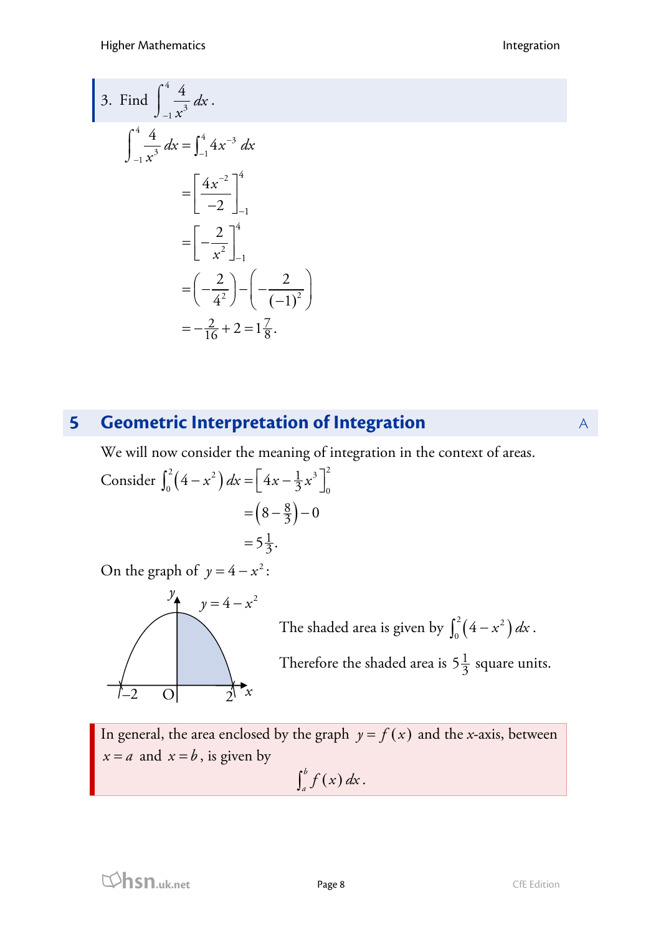3. Find 
$$
\int_{-1}^{4} \frac{4}{x^3} dx
$$

$$
\int_{-1}^{4} \frac{4}{x^3} dx = \int_{-1}^{4} 4x^{-3} dx
$$

$$
= \left[ \frac{4x^{-2}}{-2} \right]_{-1}^{4}
$$

$$
= \left[ -\frac{2}{x^2} \right]_{-1}^{4}
$$

$$
= \left( -\frac{2}{4^2} \right) - \left( -\frac{2}{(-1)^2} \right)
$$

$$
= -\frac{2}{16} + 2 = 1\frac{7}{8}.
$$

# **5 Geometric Interpretation of Integration A**

We will now consider the meaning of integration in the context of areas.

Consider 
$$
\int_0^2 (4 - x^2) dx = \left[ 4x - \frac{1}{3}x^3 \right]_0^2
$$

$$
= \left( 8 - \frac{8}{3} \right) - 0
$$

$$
= 5\frac{1}{3}.
$$

On the graph of  $y = 4 - x^2$ :



The shaded area is given by  $\int_0^2 (4 - x^2) dx$ . Therefore the shaded area is  $5\frac{1}{3}$  square units.

In general, the area enclosed by the graph  $y = f(x)$  and the *x*-axis, between  $x = a$  and  $x = b$ , is given by  $\int_a^b f(x) dx$ .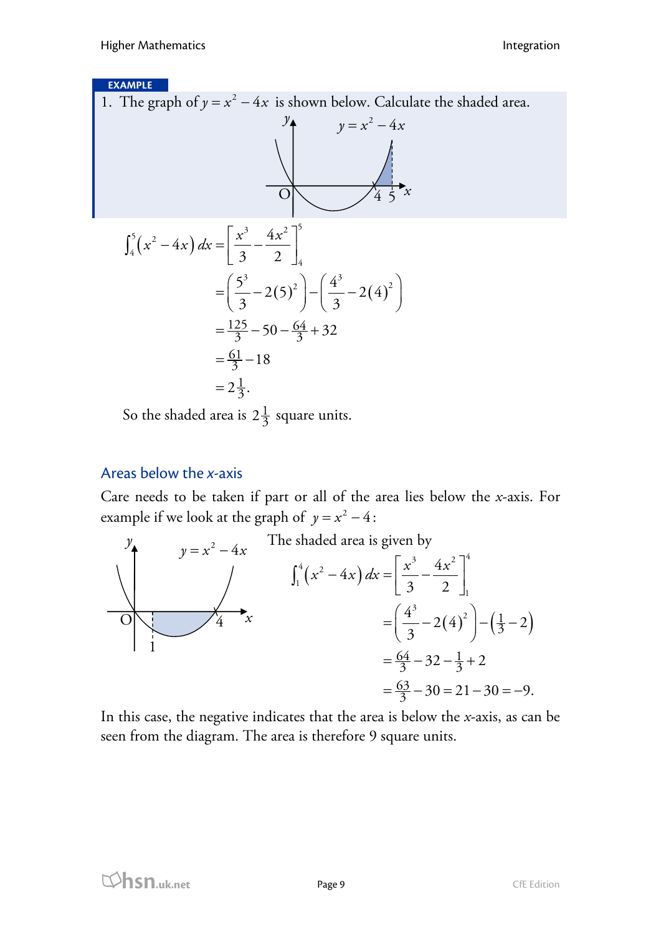### **EXAMPLE**

1. The graph of  $y = x^2 - 4x$  is shown below. Calculate the shaded area.



$$
\int_{4}^{5} (x^{2} - 4x) dx = \left[ \frac{x^{3}}{3} - \frac{4x^{2}}{2} \right]_{4}^{5}
$$
  
=  $\left( \frac{5^{3}}{3} - 2(5)^{2} \right) - \left( \frac{4^{3}}{3} - 2(4)^{2} \right)$   
=  $\frac{125}{3} - 50 - \frac{64}{3} + 32$   
=  $\frac{61}{3} - 18$   
=  $2\frac{1}{3}$ .

So the shaded area is  $2\frac{1}{3}$  square units.

### Areas below the *x*-axis

Care needs to be taken if part or all of the area lies below the *x*-axis. For example if we look at the graph of  $y = x^2 - 4$ :  $y = x^2 - 4$ :



In this case, the negative indicates that the area is below the *x*-axis, as can be seen from the diagram. The area is therefore 9 square units.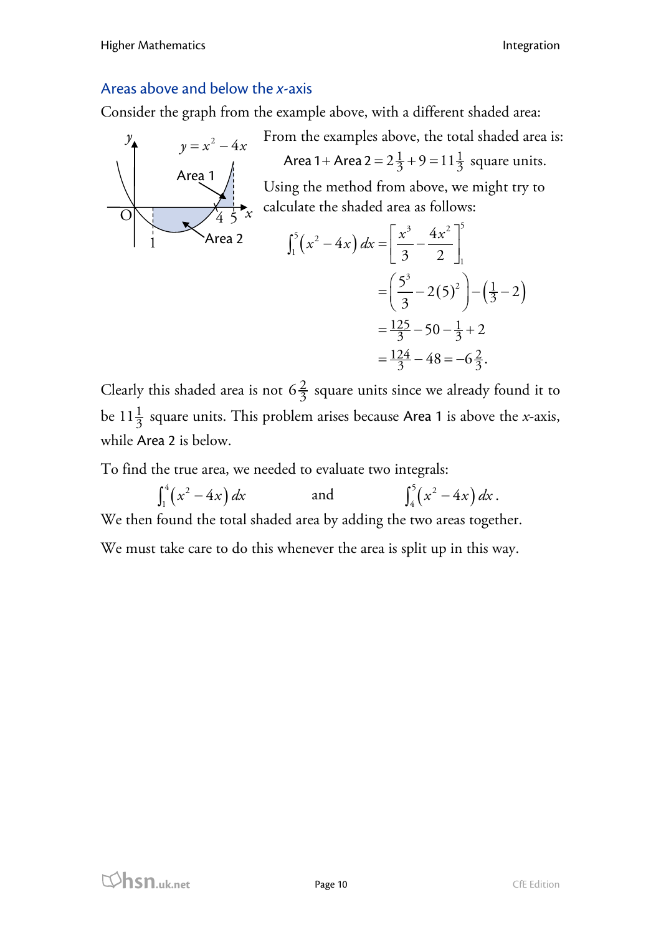### Areas above and below the *x*-axis

Consider the graph from the example above, with a different shaded area:



From the examples above, the total shaded area is: Area 1 + Area 2 =  $2\frac{1}{3}$  + 9 = 11 $\frac{1}{3}$  square units. Using the method from above, we might try to calculate the shaded area as follows:

$$
\int_{1}^{5} (x^{2} - 4x) dx = \left[ \frac{x^{3}}{3} - \frac{4x^{2}}{2} \right]_{1}^{5}
$$
  
=  $\left( \frac{5^{3}}{3} - 2(5)^{2} \right) - \left( \frac{1}{3} - 2 \right)$   
=  $\frac{125}{3} - 50 - \frac{1}{3} + 2$   
=  $\frac{124}{3} - 48 = -6\frac{2}{3}$ .

Clearly this shaded area is not  $6\frac{2}{3}$  square units since we already found it to be  $11\frac{1}{3}$  square units. This problem arises because Area 1 is above the *x*-axis, while Area 2 is below.

To find the true area, we needed to evaluate two integrals:

$$
\int_{1}^{4} (x^{2} - 4x) dx
$$
 and 
$$
\int_{4}^{5} (x^{2} - 4x) dx
$$
.  
We then found the total shaded area by adding the two areas together.  
We must take care to do this whenever the area is split up in this way.

**html**<br> **hsn.uk.net** Page 10 Page 10 CfE Edition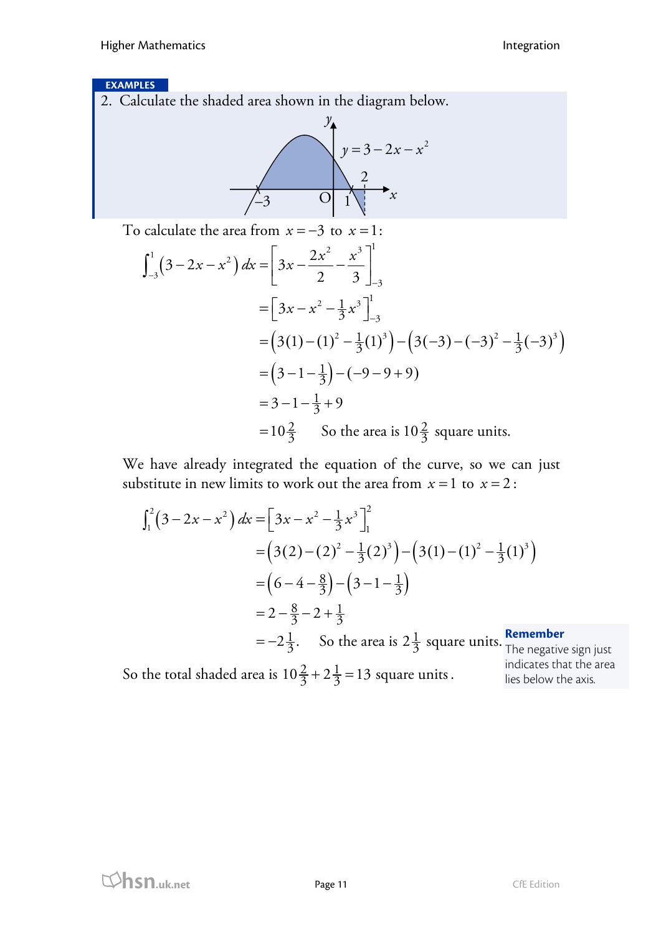### **EXAMPLES**

2. Calculate the shaded area shown in the diagram below.



To calculate the area from  $x = -3$  to  $x = 1$ :

$$
\int_{-3}^{1} (3 - 2x - x^2) dx = \left[ 3x - \frac{2x^2}{2} - \frac{x^3}{3} \right]_{-3}^{1}
$$
  
=  $\left[ 3x - x^2 - \frac{1}{3}x^3 \right]_{-3}^{1}$   
=  $\left( 3(1) - (1)^2 - \frac{1}{3}(1)^3 \right) - \left( 3(-3) - (-3)^2 - \frac{1}{3}(-3)^3 \right)$   
=  $\left( 3 - 1 - \frac{1}{3} \right) - (-9 - 9 + 9)$   
=  $3 - 1 - \frac{1}{3} + 9$   
=  $10\frac{2}{3}$  So the area is  $10\frac{2}{3}$  square units.

We have already integrated the equation of the curve, so we can just substitute in new limits to work out the area from  $x = 1$  to  $x = 2$ :

$$
\int_{1}^{2} (3 - 2x - x^{2}) dx = [3x - x^{2} - \frac{1}{3}x^{3}]_{1}^{2}
$$
  
=  $(3(2) - (2)^{2} - \frac{1}{3}(2)^{3}) - (3(1) - (1)^{2} - \frac{1}{3}(1)^{3})$   
=  $(6 - 4 - \frac{8}{3}) - (3 - 1 - \frac{1}{3})$   
=  $2 - \frac{8}{3} - 2 + \frac{1}{3}$   
=  $-2\frac{1}{3}$ . So the area is  $2\frac{1}{3}$  square units.

So the total shaded area is  $10\frac{2}{3} + 2\frac{1}{3} = 13$  square units.

ative sign just indicates that the area lies below the axis.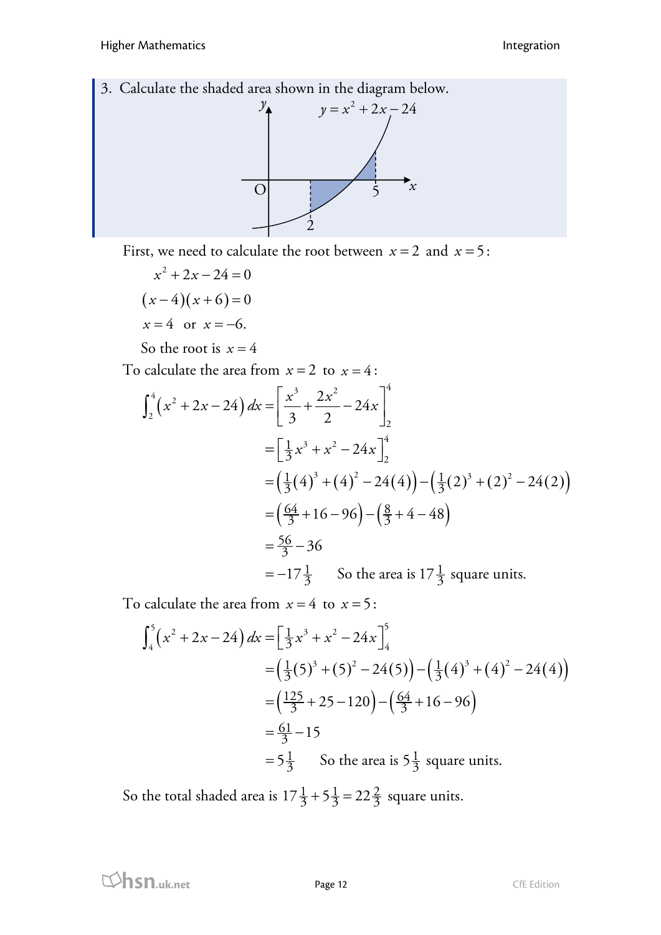3. Calculate the shaded area shown in the diagram below.



First, we need to calculate the root between  $x = 2$  and  $x = 5$ :

$$
x^{2} + 2x - 24 = 0
$$
  
(x-4)(x+6) = 0  
x = 4 or x = -6.

So the root is  $x = 4$ 

To calculate the area from  $x = 2$  to  $x = 4$ :

$$
\int_{2}^{4} (x^{2} + 2x - 24) dx = \left[ \frac{x^{3}}{3} + \frac{2x^{2}}{2} - 24x \right]_{2}^{4}
$$
  
=  $\left[ \frac{1}{3}x^{3} + x^{2} - 24x \right]_{2}^{4}$   
=  $\left( \frac{1}{3} (4)^{3} + (4)^{2} - 24 (4) \right) - \left( \frac{1}{3} (2)^{3} + (2)^{2} - 24 (2) \right)$   
=  $\left( \frac{64}{3} + 16 - 96 \right) - \left( \frac{8}{3} + 4 - 48 \right)$   
=  $\frac{56}{3} - 36$   
=  $-17\frac{1}{3}$  So the area is  $17\frac{1}{3}$  square units.

To calculate the area from  $x = 4$  to  $x = 5$ :

$$
\int_{4}^{5} (x^{2} + 2x - 24) dx = \left[ \frac{1}{3}x^{3} + x^{2} - 24x \right]_{4}^{5}
$$
  
=  $\left( \frac{1}{3}(5)^{3} + (5)^{2} - 24(5) \right) - \left( \frac{1}{3}(4)^{3} + (4)^{2} - 24(4) \right)$   
=  $\left( \frac{125}{3} + 25 - 120 \right) - \left( \frac{64}{3} + 16 - 96 \right)$   
=  $\frac{61}{3} - 15$   
=  $5\frac{1}{3}$  So the area is  $5\frac{1}{3}$  square units.

So the total shaded area is  $17\frac{1}{3} + 5\frac{1}{3} = 22\frac{2}{3}$  square units.

**html**<br>CfE Edition **Page 12** CfE Edition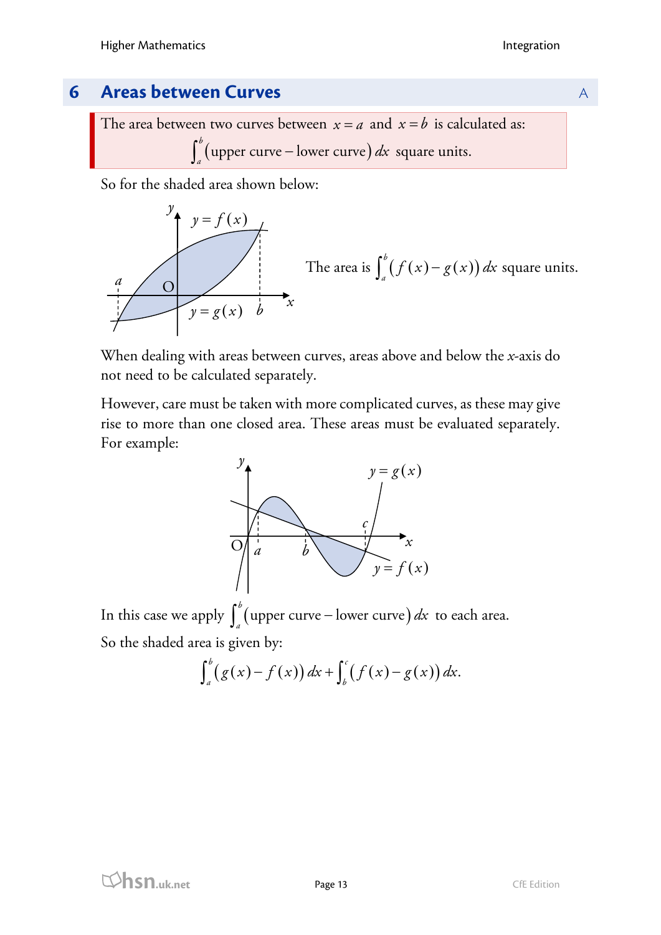## **6 Areas between Curves Areas Areas Areas Areas Areas Areas Areas Areas Areas Areas Areas Areas Areas Areas Areas Areas Areas Areas Areas Areas Areas Areas Areas Areas Areas Areas Areas Areas Areas Areas Areas Areas Ar**

The area between two curves between  $x = a$  and  $x = b$  is calculated as:  $\int_a^b$  (upper curve – lower curve) dx square units.

So for the shaded area shown below:



When dealing with areas between curves, areas above and below the *x*-axis do not need to be calculated separately.

However, care must be taken with more complicated curves, as these may give rise to more than one closed area. These areas must be evaluated separately. For example:



In this case we apply  $\int_a^b$  (upper curve – lower curve)  $dx$  to each area. So the shaded area is given by:

$$
\int_a^b (g(x)-f(x)) dx + \int_b^c (f(x)-g(x)) dx.
$$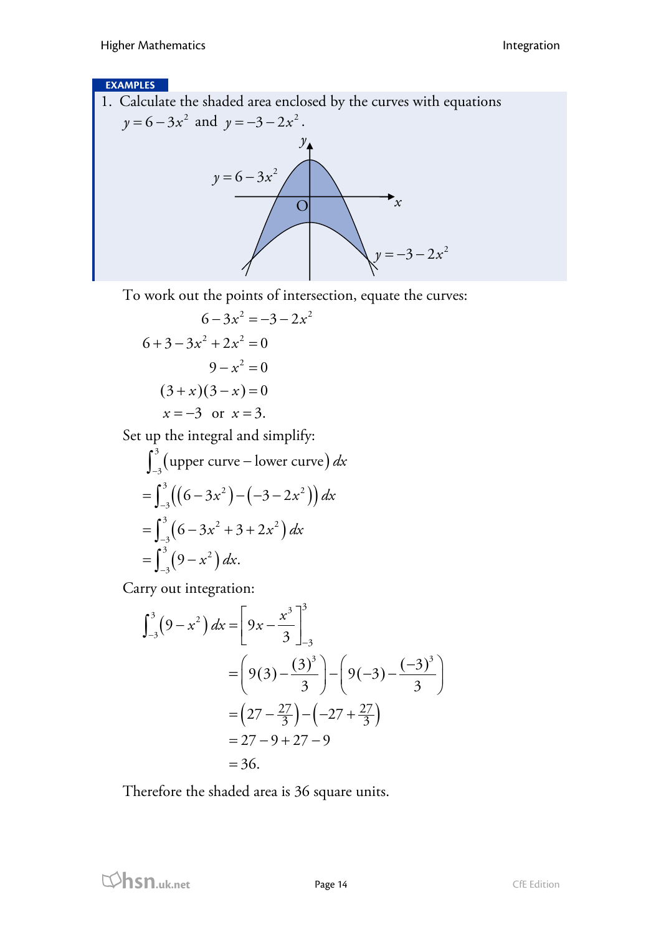### **EXAMPLES**

1. Calculate the shaded area enclosed by the curves with equations  $y = 6 - 3x^2$  and  $y = -3 - 2x^2$ . *x*  $y = 6 - 3x^2$  $\overline{O}$  $\mathcal{Y}_\blacktriangle$ 

To work out the points of intersection, equate the curves:

 $y = -3 - 2x^2$ 

$$
6-3x^2 = -3-2x^2
$$
  
\n
$$
6+3-3x^2 + 2x^2 = 0
$$
  
\n
$$
9-x^2 = 0
$$
  
\n
$$
(3+x)(3-x) = 0
$$
  
\n
$$
x = -3 \text{ or } x = 3.
$$

Set up the integral and simplify:

$$
\int_{-3}^{3} \text{(upper curve – lower curve)} \, dx
$$
\n
$$
= \int_{-3}^{3} \left( \left( 6 - 3x^{2} \right) - \left( -3 - 2x^{2} \right) \right) dx
$$
\n
$$
= \int_{-3}^{3} \left( 6 - 3x^{2} + 3 + 2x^{2} \right) dx
$$
\n
$$
= \int_{-3}^{3} \left( 9 - x^{2} \right) dx.
$$

Carry out integration:

$$
\int_{-3}^{3} (9 - x^2) dx = \left[ 9x - \frac{x^3}{3} \right]_{-3}^{3}
$$
  
=  $\left[ 9(3) - \frac{(3)^3}{3} \right] - \left[ 9(-3) - \frac{(-3)^3}{3} \right]$   
=  $\left( 27 - \frac{27}{3} \right) - \left( -27 + \frac{27}{3} \right)$   
=  $27 - 9 + 27 - 9$   
= 36.

Therefore the shaded area is 36 square units.

**html**<br>CfE Edition **Page 14** CfE Edition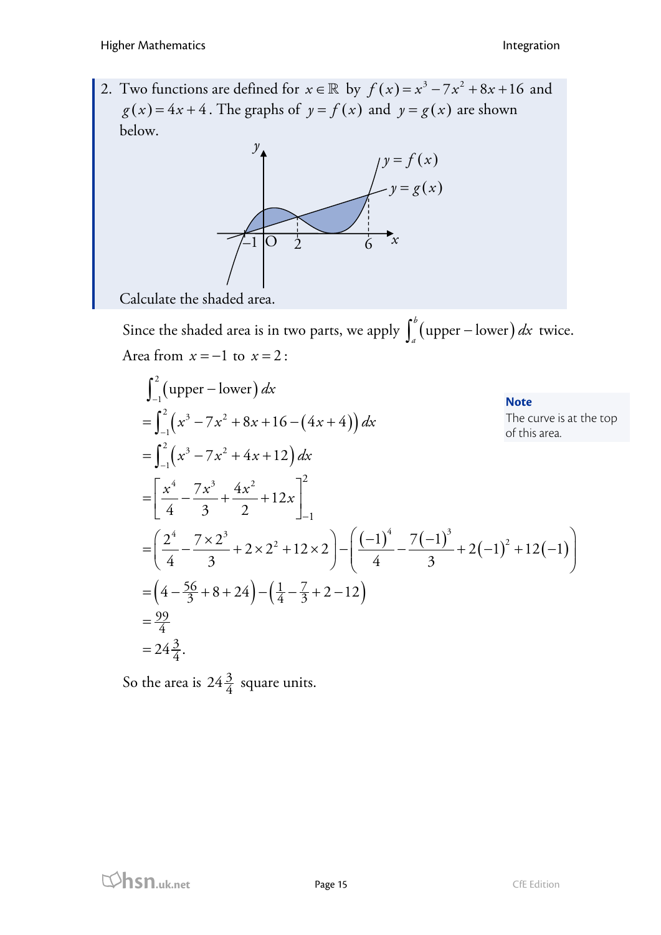2. Two functions are defined for  $x \in \mathbb{R}$  by  $f(x) = x^3 - 7x^2 + 8x + 16$  and  $g(x) = 4x + 4$ . The graphs of  $y = f(x)$  and  $y = g(x)$  are shown below.



Calculate the shaded area.

Since the shaded area is in two parts, we apply  $\int_a^b (\text{upper}-\text{lower}) dx$  twice. Area from  $x = -1$  to  $x = 2$ :

$$
\int_{-1}^{2} (upper - lower) dx
$$
  
\n
$$
= \int_{-1}^{2} (x^3 - 7x^2 + 8x + 16 - (4x + 4)) dx
$$
  
\n
$$
= \int_{-1}^{2} (x^3 - 7x^2 + 4x + 12) dx
$$
  
\n
$$
= \left[ \frac{x^4}{4} - \frac{7x^3}{3} + \frac{4x^2}{2} + 12x \right]_{-1}^{2}
$$
  
\n
$$
= \left( \frac{2^4}{4} - \frac{7 \times 2^3}{3} + 2 \times 2^2 + 12 \times 2 \right) - \left( \frac{(-1)^4}{4} - \frac{7(-1)^3}{3} + 2(-1)^2 + 12(-1) \right)
$$
  
\n
$$
= \left( 4 - \frac{56}{3} + 8 + 24 \right) - \left( \frac{1}{4} - \frac{7}{3} + 2 - 12 \right)
$$
  
\n
$$
= \frac{99}{4}
$$
  
\n
$$
= 24\frac{3}{4}.
$$

So the area is  $24\frac{3}{4}$  square units.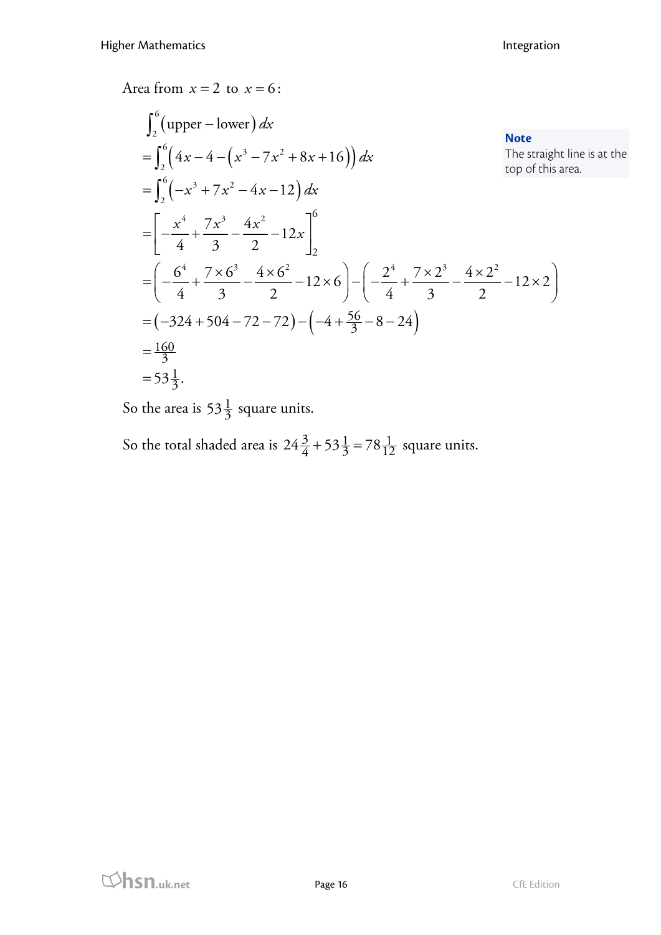Area from  $x = 2$  to  $x = 6$ :

$$
\int_{2}^{6} (\text{upper} - \text{lower}) dx
$$
  
\n
$$
= \int_{2}^{6} (4x - 4 - (x^{3} - 7x^{2} + 8x + 16)) dx
$$
  
\n
$$
= \int_{2}^{6} (-x^{3} + 7x^{2} - 4x - 12) dx
$$
  
\n
$$
= \left[ -\frac{x^{4}}{4} + \frac{7x^{3}}{3} - \frac{4x^{2}}{2} - 12x \right]_{2}^{6}
$$
  
\n
$$
= \left( -\frac{6^{4}}{4} + \frac{7 \times 6^{3}}{3} - \frac{4 \times 6^{2}}{2} - 12 \times 6 \right) - \left( -\frac{2^{4}}{4} + \frac{7 \times 2^{3}}{3} - \frac{4 \times 2^{2}}{2} - 12 \times 2 \right)
$$
  
\n
$$
= (-324 + 504 - 72 - 72) - (-4 + \frac{56}{3} - 8 - 24)
$$
  
\n
$$
= \frac{160}{3}
$$
  
\n
$$
= 53\frac{1}{3}.
$$

So the area is  $53\frac{1}{3}$  square units.

So the total shaded area is  $24\frac{3}{4} + 53\frac{1}{3} = 78\frac{1}{12}$  square units.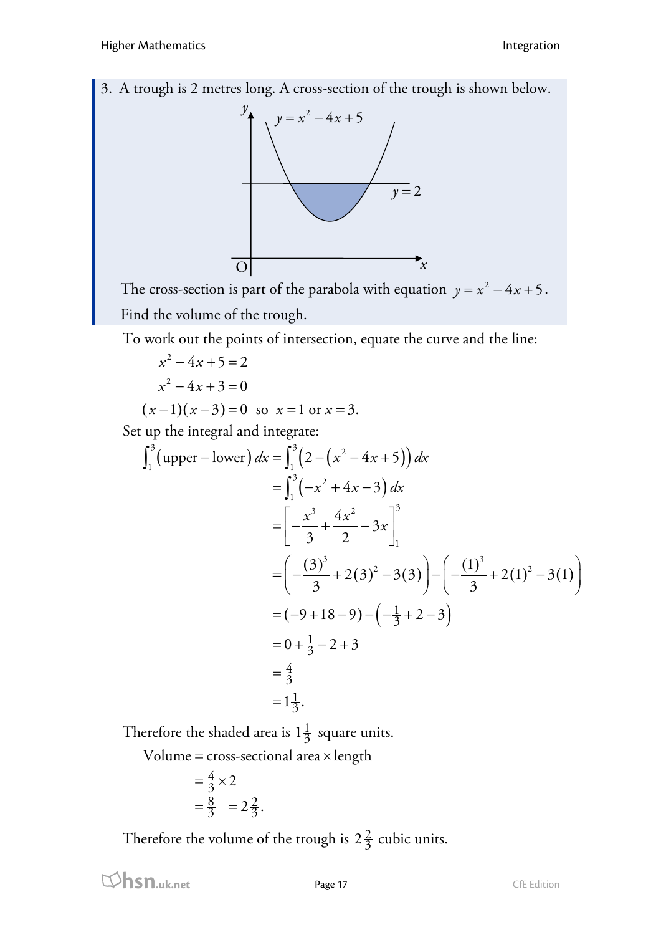3. A trough is 2 metres long. A cross-section of the trough is shown below.



The cross-section is part of the parabola with equation  $y = x^2 - 4x + 5$ . Find the volume of the trough.

To work out the points of intersection, equate the curve and the line:

$$
x2-4x+5=2
$$
  

$$
x2-4x+3=0
$$
  

$$
(x-1)(x-3)=0
$$
 so  $x=1$  or  $x=3$ .  
Set up the integral and integrate:

$$
\int_{1}^{3} \left( \text{upper} - \text{lower} \right) dx = \int_{1}^{3} \left( 2 - \left( x^{2} - 4x + 5 \right) \right) dx
$$
  
\n
$$
= \int_{1}^{3} \left( -x^{2} + 4x - 3 \right) dx
$$
  
\n
$$
= \left[ -\frac{x^{3}}{3} + \frac{4x^{2}}{2} - 3x \right]_{1}^{3}
$$
  
\n
$$
= \left( -\frac{(3)^{3}}{3} + 2(3)^{2} - 3(3) \right) - \left( -\frac{(1)^{3}}{3} + 2(1)^{2} - 3(1) \right)
$$
  
\n
$$
= (-9 + 18 - 9) - \left( -\frac{1}{3} + 2 - 3 \right)
$$
  
\n
$$
= 0 + \frac{1}{3} - 2 + 3
$$
  
\n
$$
= \frac{4}{3}
$$
  
\n
$$
= 1\frac{1}{3}.
$$

Therefore the shaded area is  $1\frac{1}{3}$  square units.

 $Volume = cross-sectional area × length$ 

$$
=\frac{4}{3} \times 2
$$
  
=  $\frac{8}{3}$  =  $2\frac{2}{3}$ .

Therefore the volume of the trough is  $2\frac{2}{3}$  cubic units.

**html**<br> **hsn.uk.net** Page 17 Page 17 CfE Edition